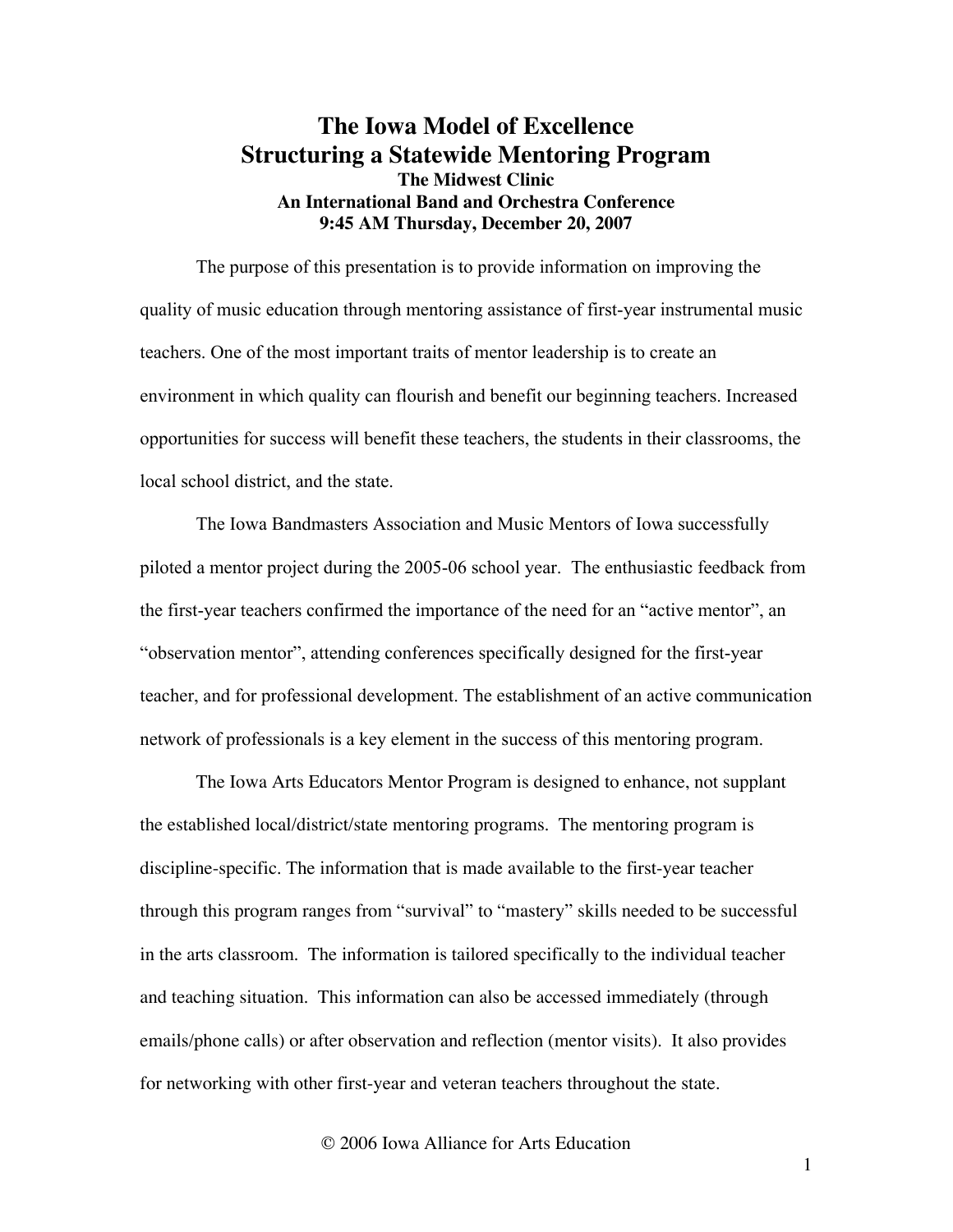## **The Iowa Model of Excellence Structuring a Statewide Mentoring Program The Midwest Clinic An International Band and Orchestra Conference 9:45 AM Thursday, December 20, 2007**

The purpose of this presentation is to provide information on improving the quality of music education through mentoring assistance of first-year instrumental music teachers. One of the most important traits of mentor leadership is to create an environment in which quality can flourish and benefit our beginning teachers. Increased opportunities for success will benefit these teachers, the students in their classrooms, the local school district, and the state.

The Iowa Bandmasters Association and Music Mentors of Iowa successfully piloted a mentor project during the 2005-06 school year. The enthusiastic feedback from the first-year teachers confirmed the importance of the need for an "active mentor", an "observation mentor", attending conferences specifically designed for the first-year teacher, and for professional development. The establishment of an active communication network of professionals is a key element in the success of this mentoring program.

The Iowa Arts Educators Mentor Program is designed to enhance, not supplant the established local/district/state mentoring programs. The mentoring program is discipline-specific. The information that is made available to the first-year teacher through this program ranges from "survival" to "mastery" skills needed to be successful in the arts classroom. The information is tailored specifically to the individual teacher and teaching situation. This information can also be accessed immediately (through emails/phone calls) or after observation and reflection (mentor visits). It also provides for networking with other first-year and veteran teachers throughout the state.

© 2006 Iowa Alliance for Arts Education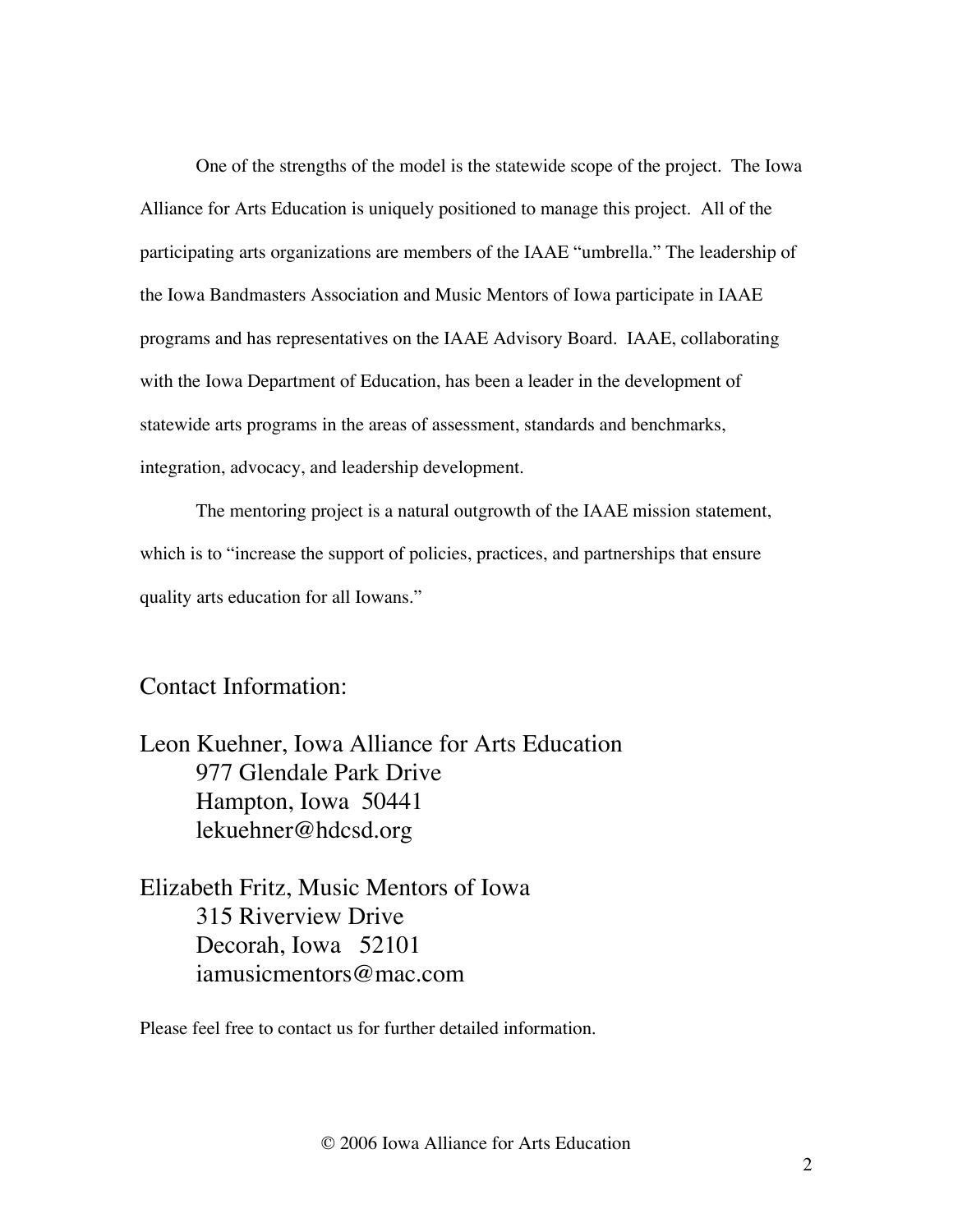One of the strengths of the model is the statewide scope of the project. The Iowa Alliance for Arts Education is uniquely positioned to manage this project. All of the participating arts organizations are members of the IAAE "umbrella." The leadership of the Iowa Bandmasters Association and Music Mentors of Iowa participate in IAAE programs and has representatives on the IAAE Advisory Board. IAAE, collaborating with the Iowa Department of Education, has been a leader in the development of statewide arts programs in the areas of assessment, standards and benchmarks, integration, advocacy, and leadership development.

The mentoring project is a natural outgrowth of the IAAE mission statement, which is to "increase the support of policies, practices, and partnerships that ensure quality arts education for all Iowans."

# Contact Information:

Leon Kuehner, Iowa Alliance for Arts Education 977 Glendale Park Drive Hampton, Iowa 50441 lekuehner@hdcsd.org

Elizabeth Fritz, Music Mentors of Iowa 315 Riverview Drive Decorah, Iowa 52101 iamusicmentors@mac.com

Please feel free to contact us for further detailed information.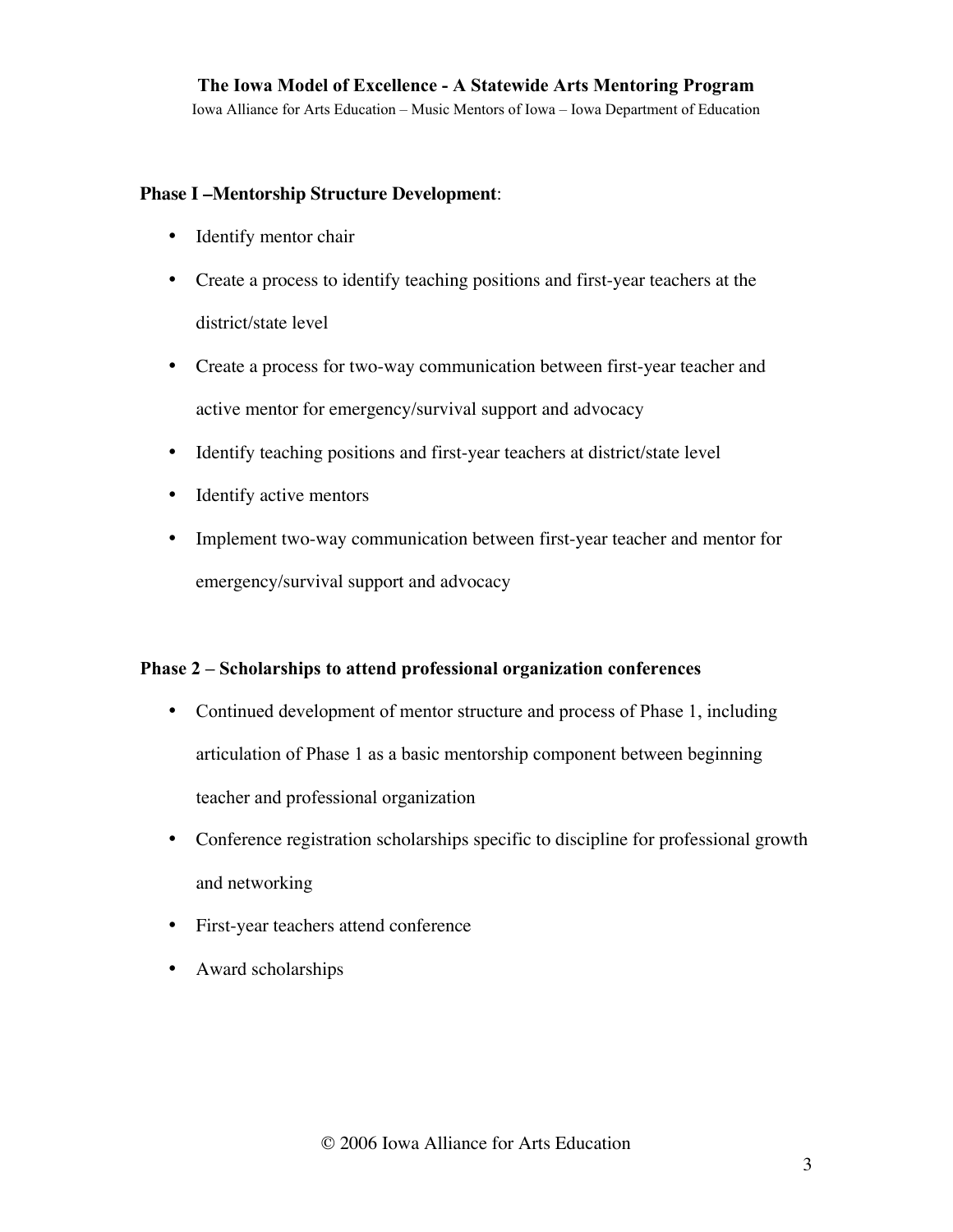Iowa Alliance for Arts Education – Music Mentors of Iowa – Iowa Department of Education

#### **Phase I –Mentorship Structure Development**:

- Identify mentor chair
- Create a process to identify teaching positions and first-year teachers at the district/state level
- Create a process for two-way communication between first-year teacher and active mentor for emergency/survival support and advocacy
- Identify teaching positions and first-year teachers at district/state level
- Identify active mentors
- Implement two-way communication between first-year teacher and mentor for emergency/survival support and advocacy

#### Phase 2 – Scholarships to attend professional organization conferences

- Continued development of mentor structure and process of Phase 1, including articulation of Phase 1 as a basic mentorship component between beginning teacher and professional organization
- Conference registration scholarships specific to discipline for professional growth and networking
- First-year teachers attend conference
- Award scholarships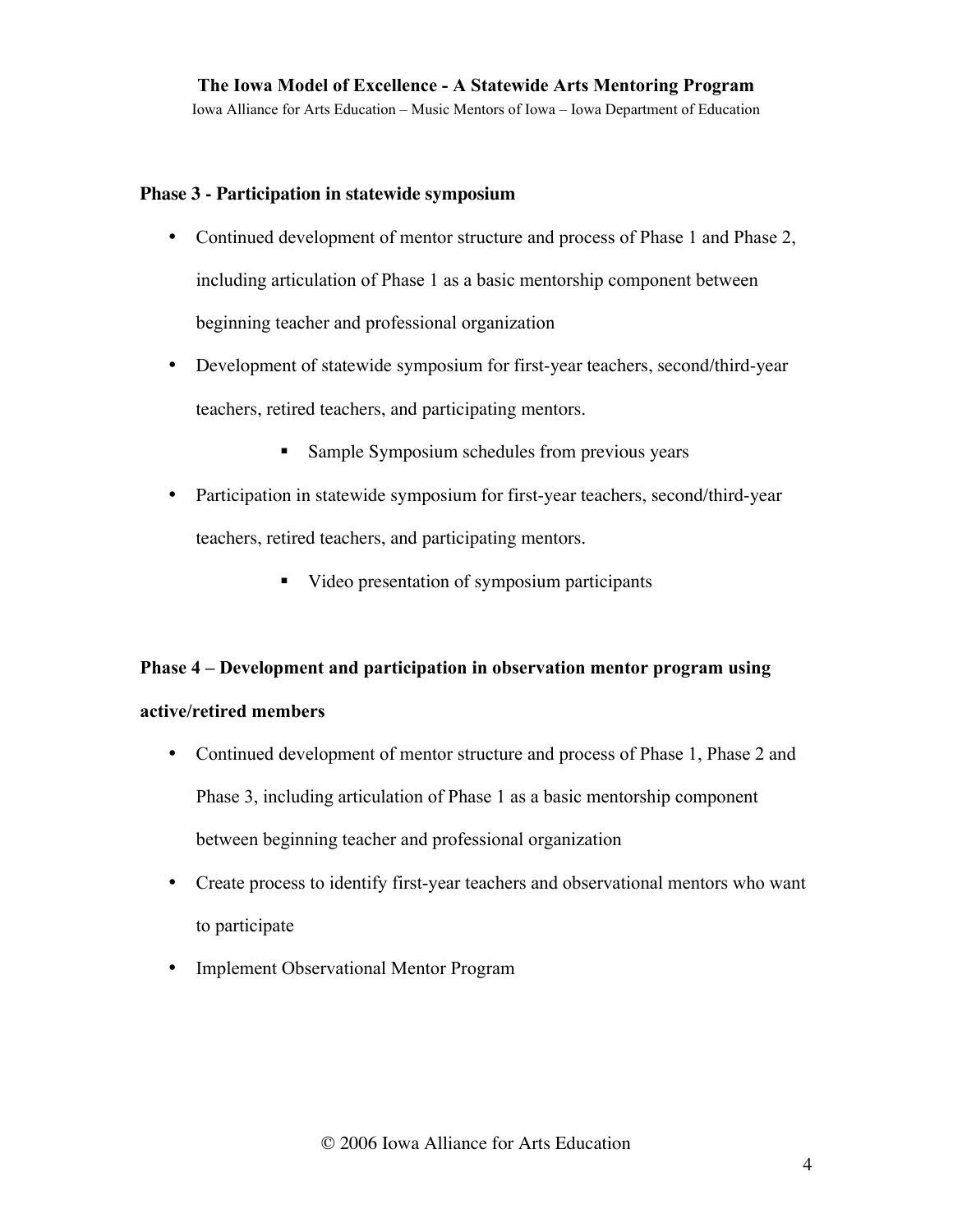Iowa Alliance for Arts Education – Music Mentors of Iowa – Iowa Department of Education

#### **Phase 3 - Participation in statewide symposium**

- Continued development of mentor structure and process of Phase 1 and Phase 2, including articulation of Phase 1 as a basic mentorship component between beginning teacher and professional organization
- Development of statewide symposium for first-year teachers, second/third-year teachers, retired teachers, and participating mentors.
	- **Sample Symposium schedules from previous years**
- Participation in statewide symposium for first-year teachers, second/third-year teachers, retired teachers, and participating mentors.
	- Video presentation of symposium participants

### Phase 4 – Development and participation in observation mentor program using

### active/retired members

- Continued development of mentor structure and process of Phase 1, Phase 2 and Phase 3, including articulation of Phase 1 as a basic mentorship component between beginning teacher and professional organization
- Create process to identify first-year teachers and observational mentors who want to participate
- Implement Observational Mentor Program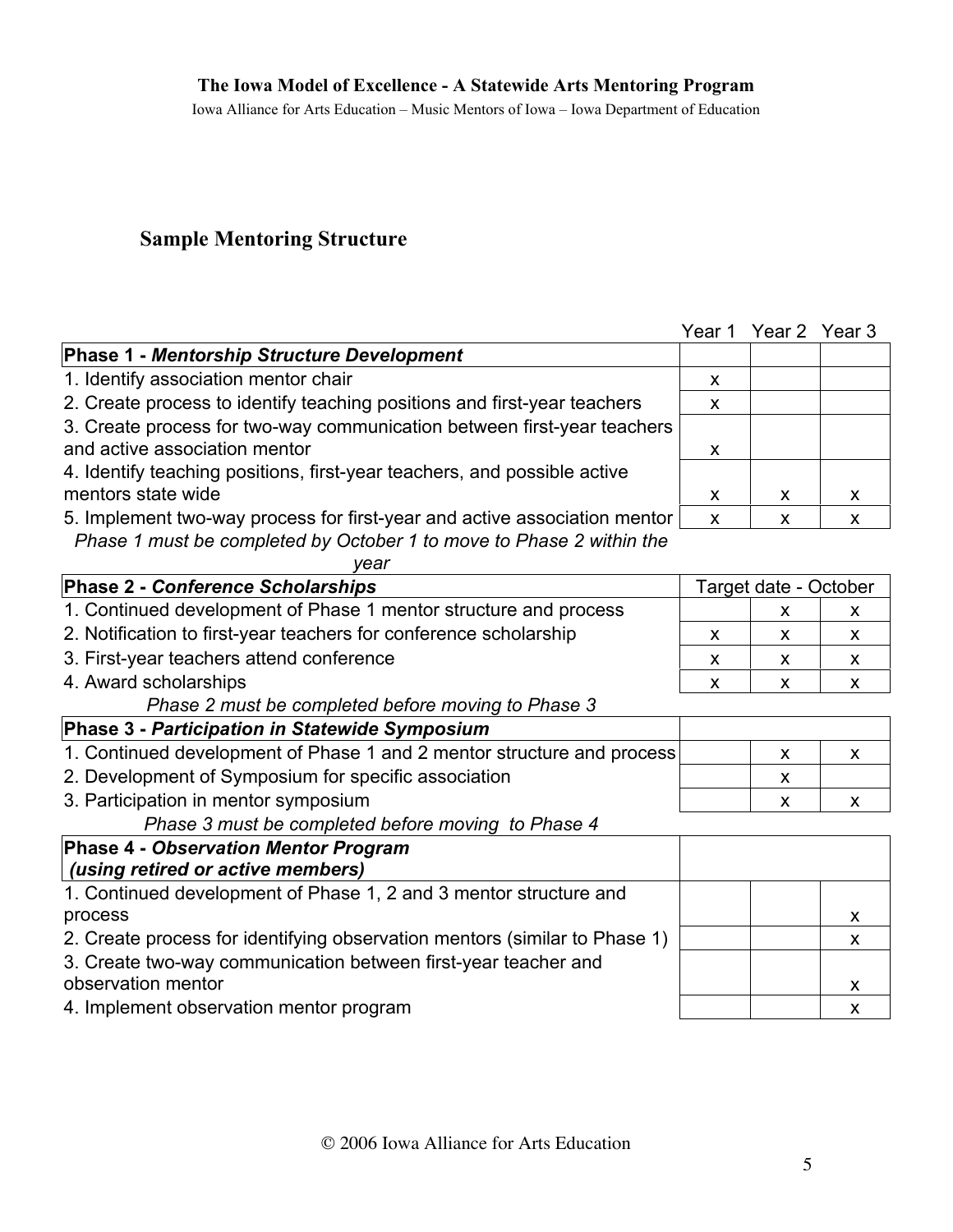Iowa Alliance for Arts Education – Music Mentors of Iowa – Iowa Department of Education

# Sample Mentoring Structure

| <b>Phase 1 - Mentorship Structure Development</b>                         |                       |    |   |
|---------------------------------------------------------------------------|-----------------------|----|---|
| 1. Identify association mentor chair                                      | X                     |    |   |
| 2. Create process to identify teaching positions and first-year teachers  | X.                    |    |   |
| 3. Create process for two-way communication between first-year teachers   |                       |    |   |
| and active association mentor                                             | X.                    |    |   |
| 4. Identify teaching positions, first-year teachers, and possible active  |                       |    |   |
| mentors state wide                                                        | X.                    | X. | X |
| 5. Implement two-way process for first-year and active association mentor | X                     | X  | X |
| Phase 1 must be completed by October 1 to move to Phase 2 within the      |                       |    |   |
| vear                                                                      |                       |    |   |
| <b>Phase 2 - Conference Scholarships</b>                                  | Target date - October |    |   |
| 1. Continued development of Phase 1 mentor structure and process          |                       | X. | X |
| 2. Notification to first-year teachers for conference scholarship         | X.                    | X. | X |
| 3. First-year teachers attend conference                                  | X.                    | X. | X |
| 4. Award scholarships                                                     | X                     | X  | X |
| Phase 2 must be completed before moving to Phase 3                        |                       |    |   |
| Phase 3 - Participation in Statewide Symposium                            |                       |    |   |

1. Continued development of Phase 1 and 2 mentor structure and process  $\begin{vmatrix} x \\ x \end{vmatrix}$ 2. Development of Symposium for specific association  $\vert x \vert$  x 3. Participation in mentor symposium  $\begin{array}{ccc} \hline \end{array}$  x  $\begin{array}{ccc} \hline \end{array}$  x  $\begin{array}{ccc} \hline \end{array}$  x  $\begin{array}{ccc} \hline \end{array}$ 

*Phase 3 must be completed before moving to Phase 4*

### **Phase 4 -** *Observation Mentor Program (using retired or active members)* 1. Continued development of Phase 1, 2 and 3 mentor structure and process and the contract of the contract of the contract of the contract of the contract of the contract of the contract of the contract of the contract of the contract of the contract of the contract of the contract of th 2. Create process for identifying observation mentors (similar to Phase 1)  $\vert$   $\vert$   $\vert$  x 3. Create two-way communication between first-year teacher and observation mentor and the state of the state of the state of the state of the state of the state of the state of the state of the state of the state of the state of the state of the state of the state of the state of the 4. Implement observation mentor program and the same state of the state of the state of the state of the state of the state of the state of the state of the state of the state of the state of the state of the state of the

Year 1 Year 2 Year 3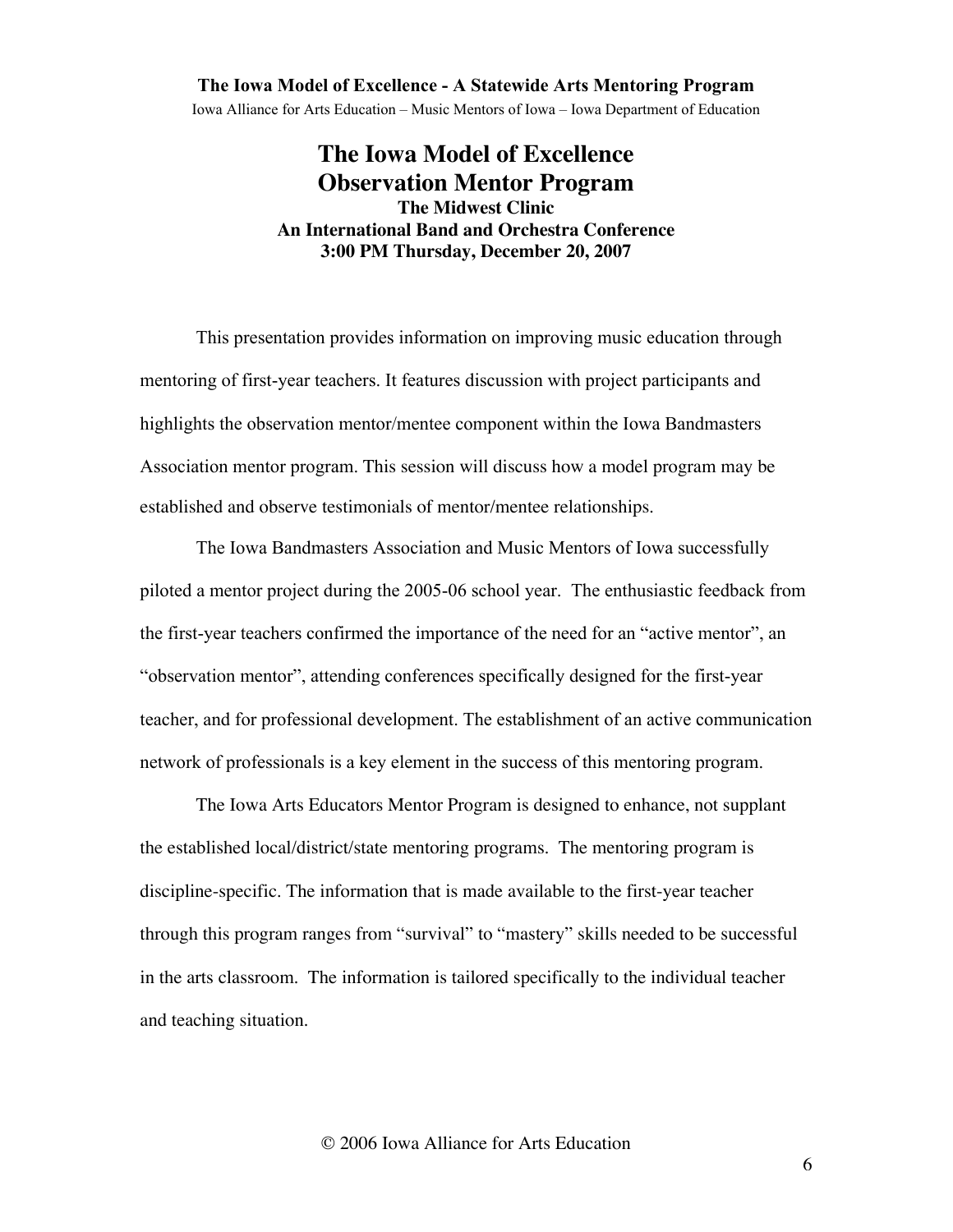Iowa Alliance for Arts Education – Music Mentors of Iowa – Iowa Department of Education

# **The Iowa Model of Excellence Observation Mentor Program The Midwest Clinic An International Band and Orchestra Conference 3:00 PM Thursday, December 20, 2007**

This presentation provides information on improving music education through mentoring of first-year teachers. It features discussion with project participants and highlights the observation mentor/mentee component within the Iowa Bandmasters Association mentor program. This session will discuss how a model program may be established and observe testimonials of mentor/mentee relationships.

The Iowa Bandmasters Association and Music Mentors of Iowa successfully piloted a mentor project during the 2005-06 school year. The enthusiastic feedback from the first-year teachers confirmed the importance of the need for an "active mentor", an "observation mentor", attending conferences specifically designed for the first-year teacher, and for professional development. The establishment of an active communication network of professionals is a key element in the success of this mentoring program.

The Iowa Arts Educators Mentor Program is designed to enhance, not supplant the established local/district/state mentoring programs. The mentoring program is discipline-specific. The information that is made available to the first-year teacher through this program ranges from "survival" to "mastery" skills needed to be successful in the arts classroom. The information is tailored specifically to the individual teacher and teaching situation.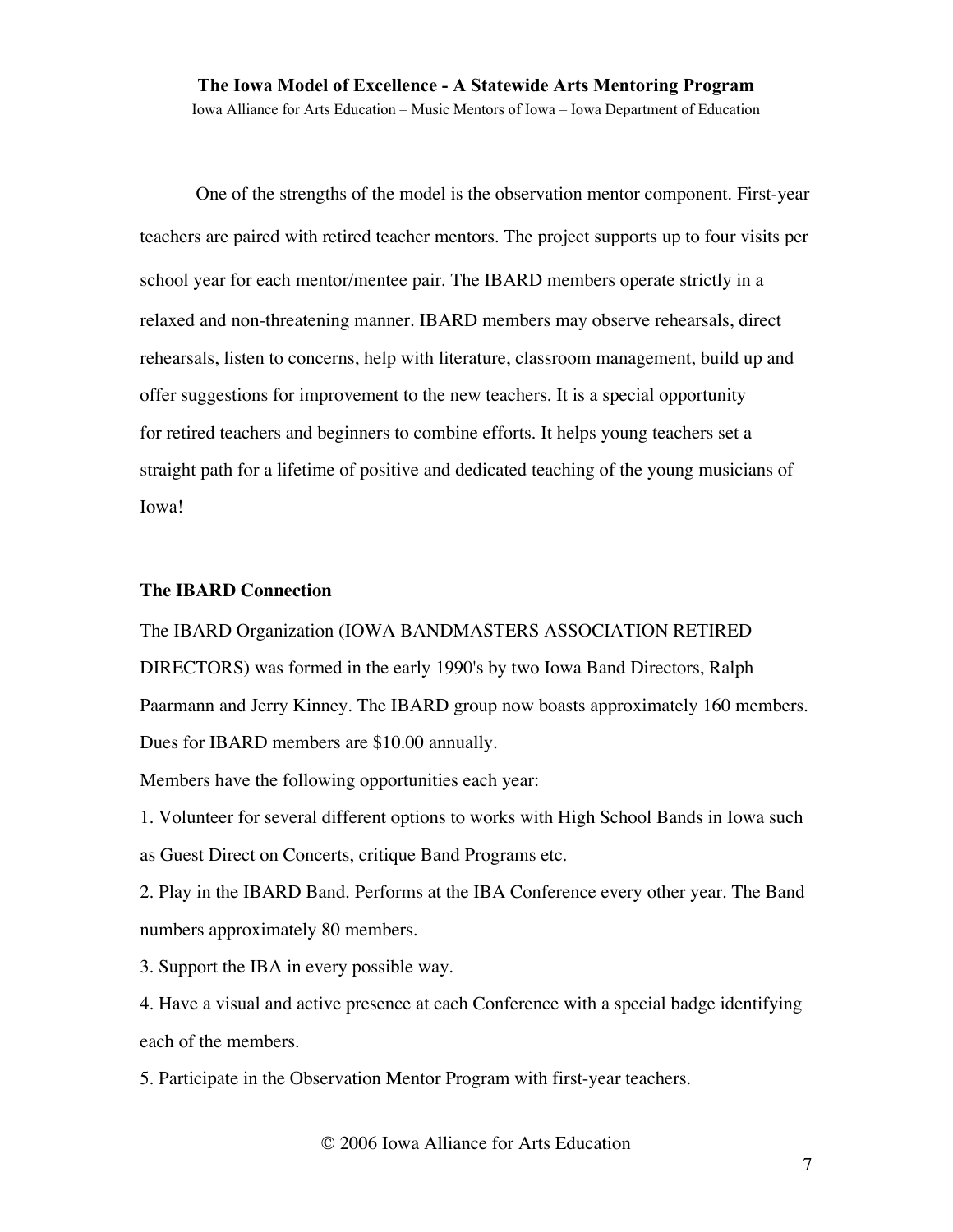### The Iowa Model of Excellence - A Statewide Arts Mentoring Program Iowa Alliance for Arts Education – Music Mentors of Iowa – Iowa Department of Education

One of the strengths of the model is the observation mentor component. First-year teachers are paired with retired teacher mentors. The project supports up to four visits per school year for each mentor/mentee pair. The IBARD members operate strictly in a relaxed and non-threatening manner. IBARD members may observe rehearsals, direct rehearsals, listen to concerns, help with literature, classroom management, build up and offer suggestions for improvement to the new teachers. It is a special opportunity for retired teachers and beginners to combine efforts. It helps young teachers set a straight path for a lifetime of positive and dedicated teaching of the young musicians of Iowa!

#### **The IBARD Connection**

# The IBARD Organization (IOWA BANDMASTERS ASSOCIATION RETIRED DIRECTORS) was formed in the early 1990's by two Iowa Band Directors, Ralph Paarmann and Jerry Kinney. The IBARD group now boasts approximately 160 members. Dues for IBARD members are \$10.00 annually.

Members have the following opportunities each year:

1. Volunteer for several different options to works with High School Bands in Iowa such as Guest Direct on Concerts, critique Band Programs etc.

2. Play in the IBARD Band. Performs at the IBA Conference every other year. The Band numbers approximately 80 members.

3. Support the IBA in every possible way.

4. Have a visual and active presence at each Conference with a special badge identifying each of the members.

5. Participate in the Observation Mentor Program with first-year teachers.